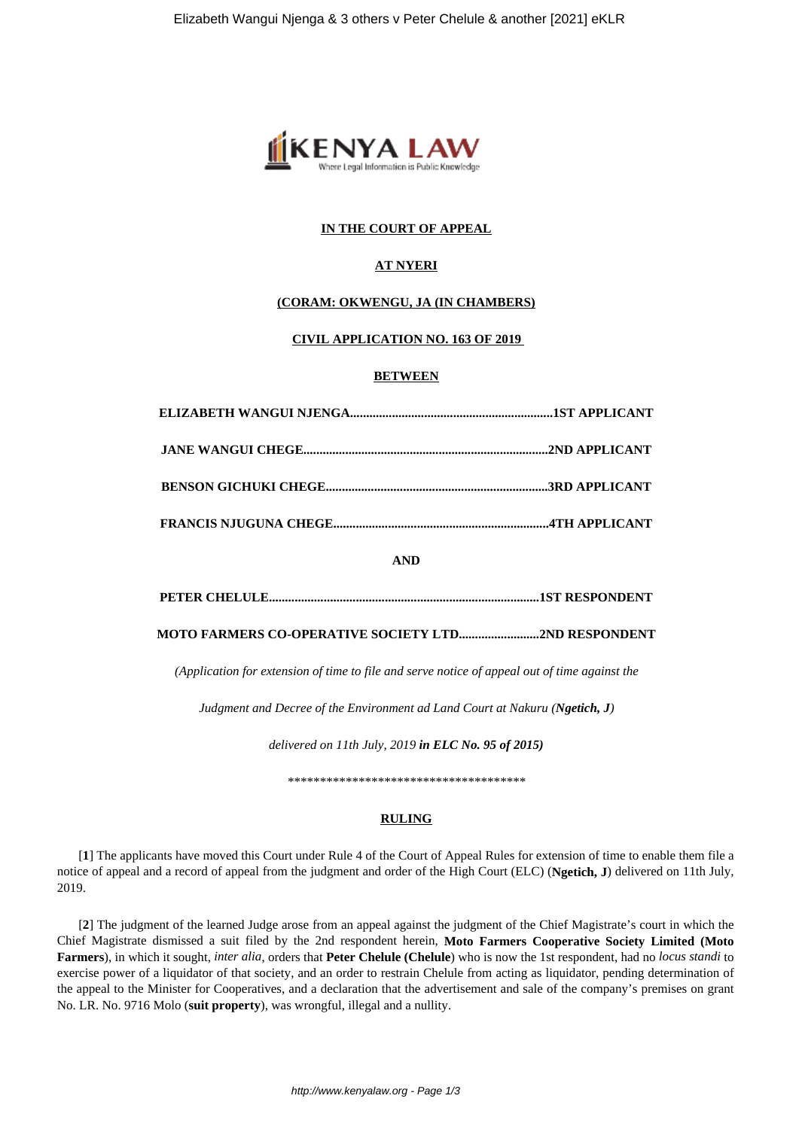

## **IN THE COURT OF APPEAL**

# **AT NYERI**

### **(CORAM: OKWENGU, JA (IN CHAMBERS)**

### **CIVIL APPLICATION NO. 163 OF 2019**

### **BETWEEN**

**AND**

**PETER CHELULE....................................................................................1ST RESPONDENT**

**MOTO FARMERS CO-OPERATIVE SOCIETY LTD.........................2ND RESPONDENT**

*(Application for extension of time to file and serve notice of appeal out of time against the*

*Judgment and Decree of the Environment ad Land Court at Nakuru (Ngetich, J)*

*delivered on 11th July, 2019 in ELC No. 95 of 2015)*

*\*\*\*\*\*\*\*\*\*\*\*\*\*\*\*\*\*\*\*\*\*\*\*\*\*\*\*\*\*\*\*\*\*\*\*\*\**

# **RULING**

[**1**] The applicants have moved this Court under Rule 4 of the Court of Appeal Rules for extension of time to enable them file a notice of appeal and a record of appeal from the judgment and order of the High Court (ELC) (**Ngetich, J**) delivered on 11th July, 2019.

[**2**] The judgment of the learned Judge arose from an appeal against the judgment of the Chief Magistrate's court in which the Chief Magistrate dismissed a suit filed by the 2nd respondent herein, **Moto Farmers Cooperative Society Limited (Moto Farmers**), in which it sought, *inter alia*, orders that **Peter Chelule (Chelule**) who is now the 1st respondent, had no *locus standi* to exercise power of a liquidator of that society, and an order to restrain Chelule from acting as liquidator, pending determination of the appeal to the Minister for Cooperatives, and a declaration that the advertisement and sale of the company's premises on grant No. LR. No. 9716 Molo (**suit property**), was wrongful, illegal and a nullity.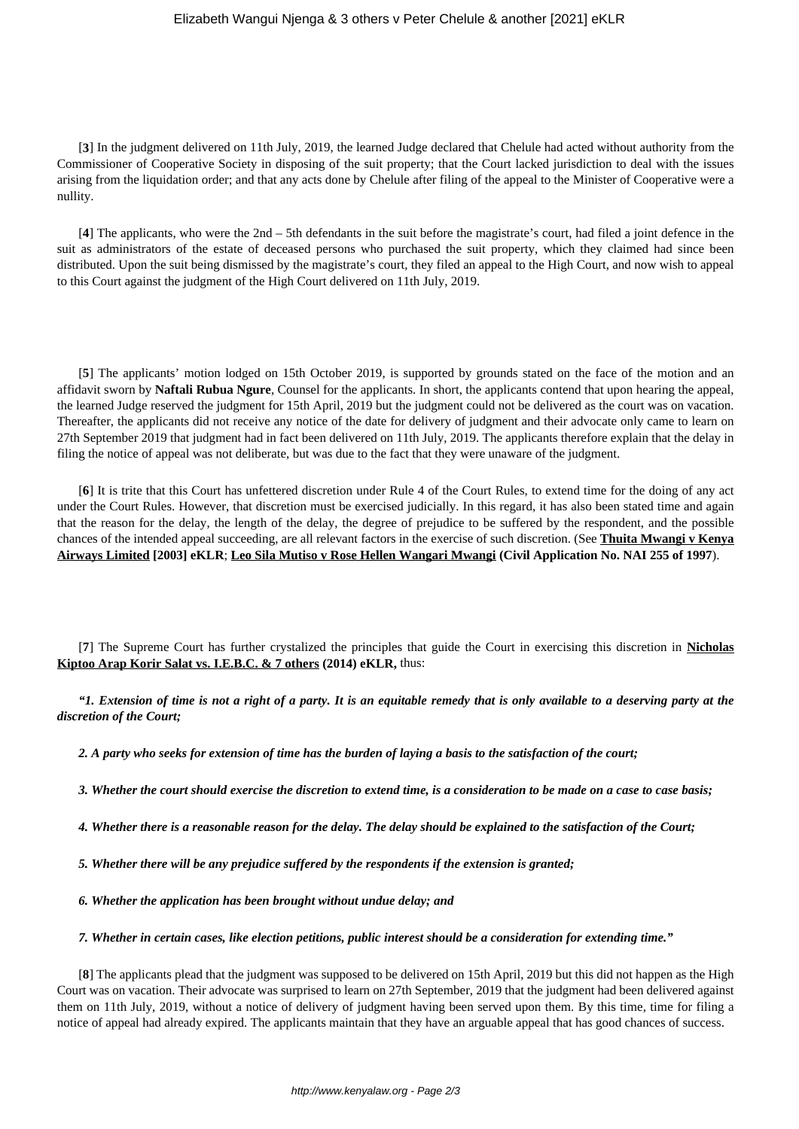### Elizabeth Wangui Njenga & 3 others v Peter Chelule & another [2021] eKLR

[**3**] In the judgment delivered on 11th July, 2019, the learned Judge declared that Chelule had acted without authority from the Commissioner of Cooperative Society in disposing of the suit property; that the Court lacked jurisdiction to deal with the issues arising from the liquidation order; and that any acts done by Chelule after filing of the appeal to the Minister of Cooperative were a nullity.

[**4**] The applicants, who were the 2nd – 5th defendants in the suit before the magistrate's court, had filed a joint defence in the suit as administrators of the estate of deceased persons who purchased the suit property, which they claimed had since been distributed. Upon the suit being dismissed by the magistrate's court, they filed an appeal to the High Court, and now wish to appeal to this Court against the judgment of the High Court delivered on 11th July, 2019.

[**5**] The applicants' motion lodged on 15th October 2019, is supported by grounds stated on the face of the motion and an affidavit sworn by **Naftali Rubua Ngure**, Counsel for the applicants. In short, the applicants contend that upon hearing the appeal, the learned Judge reserved the judgment for 15th April, 2019 but the judgment could not be delivered as the court was on vacation. Thereafter, the applicants did not receive any notice of the date for delivery of judgment and their advocate only came to learn on 27th September 2019 that judgment had in fact been delivered on 11th July, 2019. The applicants therefore explain that the delay in filing the notice of appeal was not deliberate, but was due to the fact that they were unaware of the judgment.

[**6**] It is trite that this Court has unfettered discretion under Rule 4 of the Court Rules, to extend time for the doing of any act under the Court Rules. However, that discretion must be exercised judicially. In this regard, it has also been stated time and again that the reason for the delay, the length of the delay, the degree of prejudice to be suffered by the respondent, and the possible chances of the intended appeal succeeding, are all relevant factors in the exercise of such discretion. (See **Thuita Mwangi v Kenya Airways Limited [2003] eKLR**; **Leo Sila Mutiso v Rose Hellen Wangari Mwangi (Civil Application No. NAI 255 of 1997**).

[**7**] The Supreme Court has further crystalized the principles that guide the Court in exercising this discretion in **Nicholas Kiptoo Arap Korir Salat vs. I.E.B.C. & 7 others (2014) eKLR,** thus:

*"1. Extension of time is not a right of a party. It is an equitable remedy that is only available to a deserving party at the discretion of the Court;*

*2. A party who seeks for extension of time has the burden of laying a basis to the satisfaction of the court;*

*3. Whether the court should exercise the discretion to extend time, is a consideration to be made on a case to case basis;*

*4. Whether there is a reasonable reason for the delay. The delay should be explained to the satisfaction of the Court;*

*5. Whether there will be any prejudice suffered by the respondents if the extension is granted;*

*6. Whether the application has been brought without undue delay; and*

*7. Whether in certain cases, like election petitions, public interest should be a consideration for extending time."*

[**8**] The applicants plead that the judgment was supposed to be delivered on 15th April, 2019 but this did not happen as the High Court was on vacation. Their advocate was surprised to learn on 27th September, 2019 that the judgment had been delivered against them on 11th July, 2019, without a notice of delivery of judgment having been served upon them. By this time, time for filing a notice of appeal had already expired. The applicants maintain that they have an arguable appeal that has good chances of success.